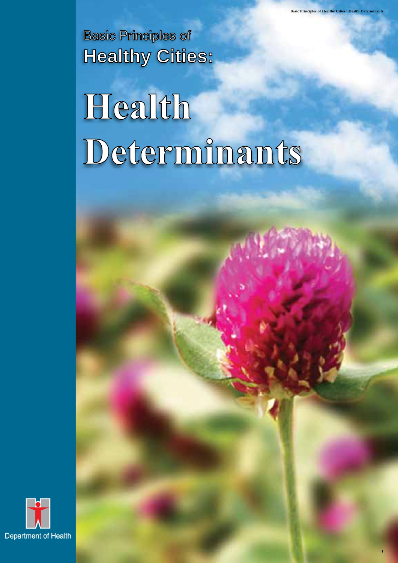Basic Principles of **Healthy Cities:** 

# **Health Determinants**

**Basic Principles of Healthy Cities : Health Determinants** 

**1**

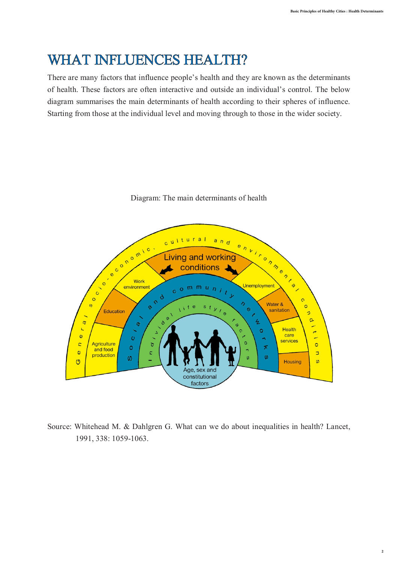# WHAT INFLUENCES HEALTH?

 There are many factors that influence people's health and they are known as the determinants of health. These factors are often interactive and outside an individual's control. The below diagram summarises the main determinants of health according to their spheres of influence. Starting from those at the individual level and moving through to those in the wider society.



Diagram: The main determinants of health

 Source: Whitehead M. & Dahlgren G. What can we do about inequalities in health? Lancet, 1991, 338: 1059-1063.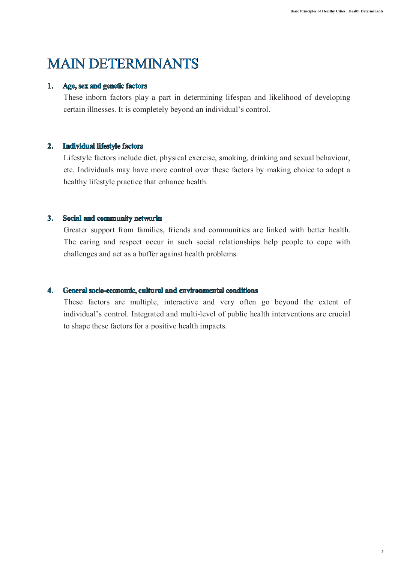# MAIN DETERMINANTS

## **1. Age, sex and genetic factors**

 These inborn factors play a part in determining lifespan and likelihood of developing certain illnesses. It is completely beyond an individual's control.

## **2. Individual lifestyle factors**

 Lifestyle factors include diet, physical exercise, smoking, drinking and sexual behaviour, etc. Individuals may have more control over these factors by making choice to adopt a healthy lifestyle practice that enhance health.

## **3. Social and community networks**

 Greater support from families, friends and communities are linked with better health. The caring and respect occur in such social relationships help people to cope with challenges and act as a buffer against health problems.

## **4. General socio-economic, cultural and environmental conditions**

 These factors are multiple, interactive and very often go beyond the extent of individual's control. Integrated and multi-level of public health interventions are crucial to shape these factors for a positive health impacts.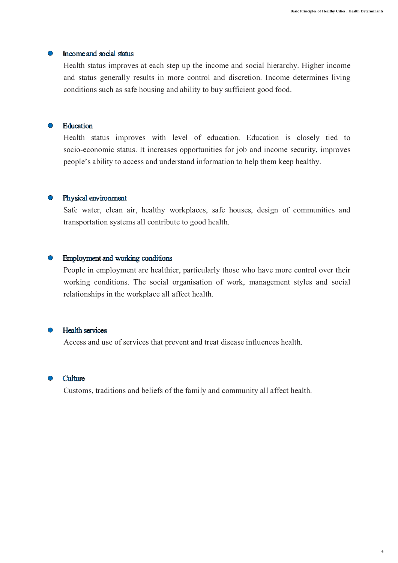**4**

## **•** Income and social status

 Health status improves at each step up the income and social hierarchy. Higher income and status generally results in more control and discretion. Income determines living conditions such as safe housing and ability to buy sufficient good food.

#### **Education**

 Health status improves with level of education. Education is closely tied to socio-economic status. It increases opportunities for job and income security, improves people's ability to access and understand information to help them keep healthy.

#### **•** Physical environment

 Safe water, clean air, healthy workplaces, safe houses, design of communities and transportation systems all contribute to good health.

#### **•** Employment and working conditions

 People in employment are healthier, particularly those who have more control over their working conditions. The social organisation of work, management styles and social relationships in the workplace all affect health.

#### Health services

Access and use of services that prevent and treat disease influences health.



Customs, traditions and beliefs of the family and community all affect health.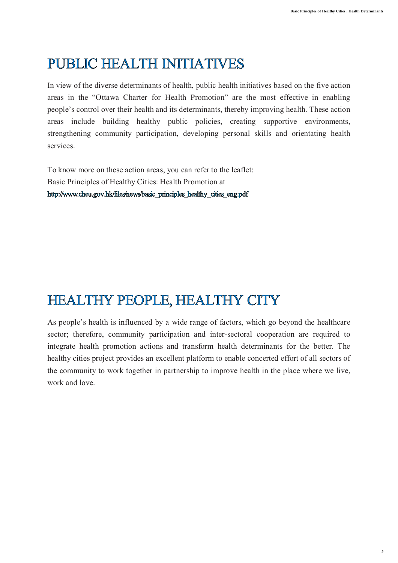# PUBLIC HEALTH INITIATIVES

 In view of the diverse determinants of health, public health initiatives based on the five action areas in the "Ottawa Charter for Health Promotion" are the most effective in enabling people's control over their health and its determinants, thereby improving health. These action areas include building healthy public policies, creating supportive environments, strengthening community participation, developing personal skills and orientating health services.

 To know more on these action areas, you can refer to the leaflet: Basic Principles of Healthy Cities: Health Promotion at [http://www.cheu.gov.hk/files/news/basic\\_principles\\_healthy\\_cities\\_eng.pdf](http://www.cheu.gov.hk/files/news/basic_principles_healthy_cities_eng.pdf) 

# HEALTHY PEOPLE, HEALTHY CITY

 As people's health is influenced by a wide range of factors, which go beyond the healthcare sector; therefore, community participation and inter-sectoral cooperation are required to integrate health promotion actions and transform health determinants for the better. The healthy cities project provides an excellent platform to enable concerted effort of all sectors of the community to work together in partnership to improve health in the place where we live, work and love.